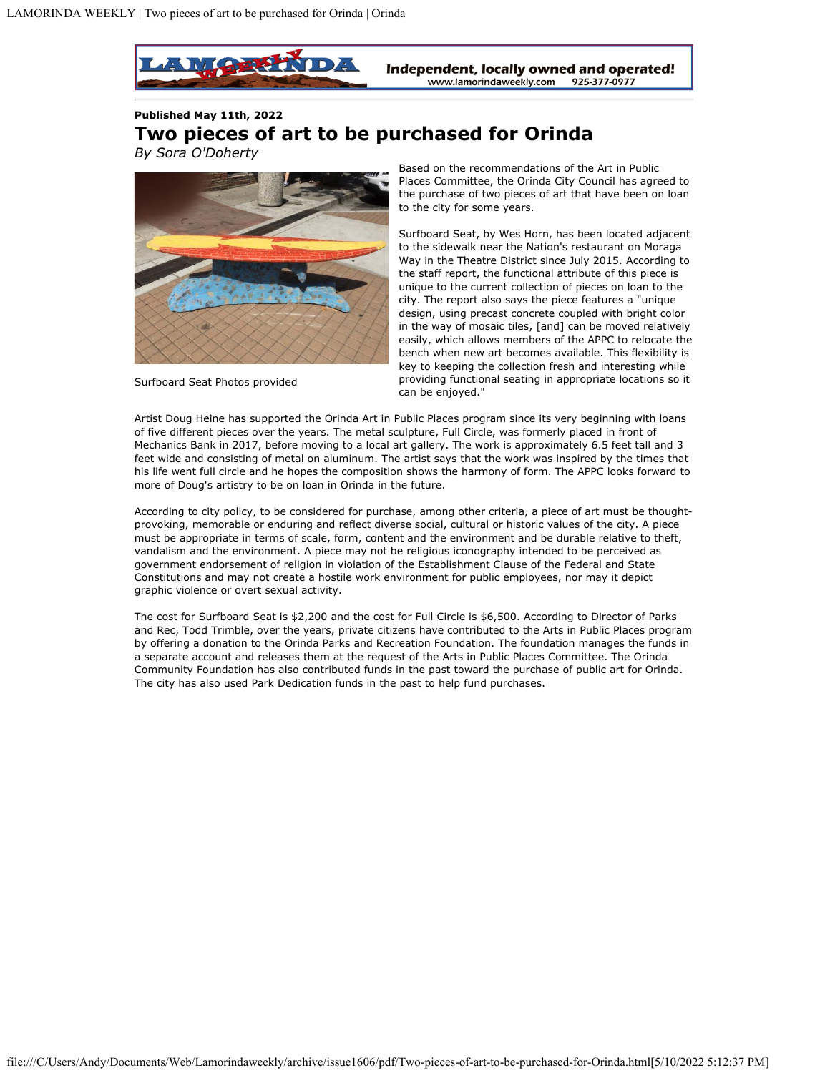

**Published May 11th, 2022 Two pieces of art to be purchased for Orinda** *By Sora O'Doherty*



Surfboard Seat Photos provided

Based on the recommendations of the Art in Public Places Committee, the Orinda City Council has agreed to the purchase of two pieces of art that have been on loan to the city for some years.

Surfboard Seat, by Wes Horn, has been located adjacent to the sidewalk near the Nation's restaurant on Moraga Way in the Theatre District since July 2015. According to the staff report, the functional attribute of this piece is unique to the current collection of pieces on loan to the city. The report also says the piece features a "unique design, using precast concrete coupled with bright color in the way of mosaic tiles, [and] can be moved relatively easily, which allows members of the APPC to relocate the bench when new art becomes available. This flexibility is key to keeping the collection fresh and interesting while providing functional seating in appropriate locations so it can be enjoyed."

Artist Doug Heine has supported the Orinda Art in Public Places program since its very beginning with loans of five different pieces over the years. The metal sculpture, Full Circle, was formerly placed in front of Mechanics Bank in 2017, before moving to a local art gallery. The work is approximately 6.5 feet tall and 3 feet wide and consisting of metal on aluminum. The artist says that the work was inspired by the times that his life went full circle and he hopes the composition shows the harmony of form. The APPC looks forward to more of Doug's artistry to be on loan in Orinda in the future.

According to city policy, to be considered for purchase, among other criteria, a piece of art must be thoughtprovoking, memorable or enduring and reflect diverse social, cultural or historic values of the city. A piece must be appropriate in terms of scale, form, content and the environment and be durable relative to theft, vandalism and the environment. A piece may not be religious iconography intended to be perceived as government endorsement of religion in violation of the Establishment Clause of the Federal and State Constitutions and may not create a hostile work environment for public employees, nor may it depict graphic violence or overt sexual activity.

The cost for Surfboard Seat is \$2,200 and the cost for Full Circle is \$6,500. According to Director of Parks and Rec, Todd Trimble, over the years, private citizens have contributed to the Arts in Public Places program by offering a donation to the Orinda Parks and Recreation Foundation. The foundation manages the funds in a separate account and releases them at the request of the Arts in Public Places Committee. The Orinda Community Foundation has also contributed funds in the past toward the purchase of public art for Orinda. The city has also used Park Dedication funds in the past to help fund purchases.